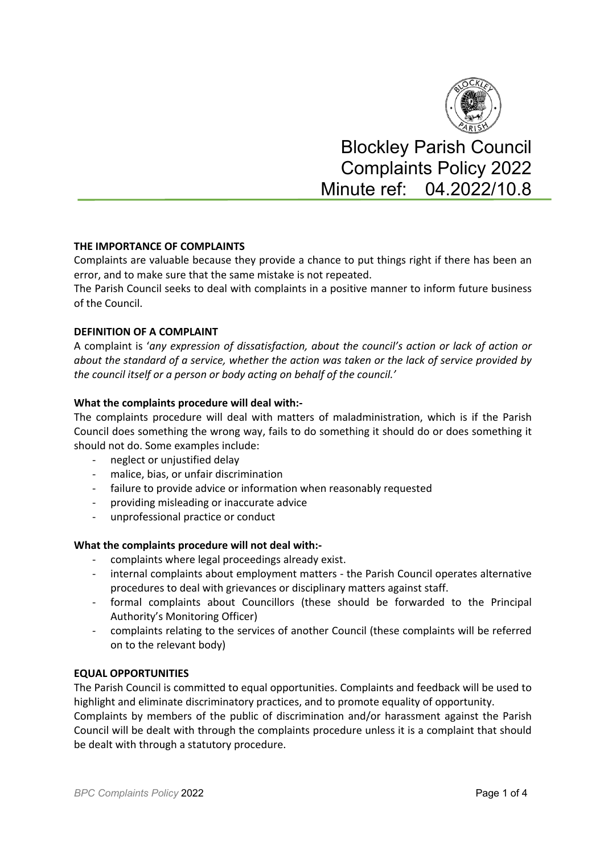

Blockley Parish Council Complaints Policy 2022 Minute ref: 04.2022/10.8

## **THE IMPORTANCE OF COMPLAINTS**

Complaints are valuable because they provide a chance to put things right if there has been an error, and to make sure that the same mistake is not repeated.

The Parish Council seeks to deal with complaints in a positive manner to inform future business of the Council.

#### **DEFINITION OF A COMPLAINT**

A complaint is '*any expression of dissatisfaction, about the council's action or lack of action or about the standard of a service, whether the action was taken or the lack of service provided by the council itself or a person or body acting on behalf of the council.'* 

#### **What the complaints procedure will deal with:-**

The complaints procedure will deal with matters of maladministration, which is if the Parish Council does something the wrong way, fails to do something it should do or does something it should not do. Some examples include:

- neglect or unjustified delay
- malice, bias, or unfair discrimination
- failure to provide advice or information when reasonably requested
- providing misleading or inaccurate advice
- unprofessional practice or conduct

#### **What the complaints procedure will not deal with:-**

- complaints where legal proceedings already exist.
- internal complaints about employment matters the Parish Council operates alternative procedures to deal with grievances or disciplinary matters against staff.
- formal complaints about Councillors (these should be forwarded to the Principal Authority's Monitoring Officer)
- complaints relating to the services of another Council (these complaints will be referred on to the relevant body)

#### **EQUAL OPPORTUNITIES**

The Parish Council is committed to equal opportunities. Complaints and feedback will be used to highlight and eliminate discriminatory practices, and to promote equality of opportunity.

Complaints by members of the public of discrimination and/or harassment against the Parish Council will be dealt with through the complaints procedure unless it is a complaint that should be dealt with through a statutory procedure.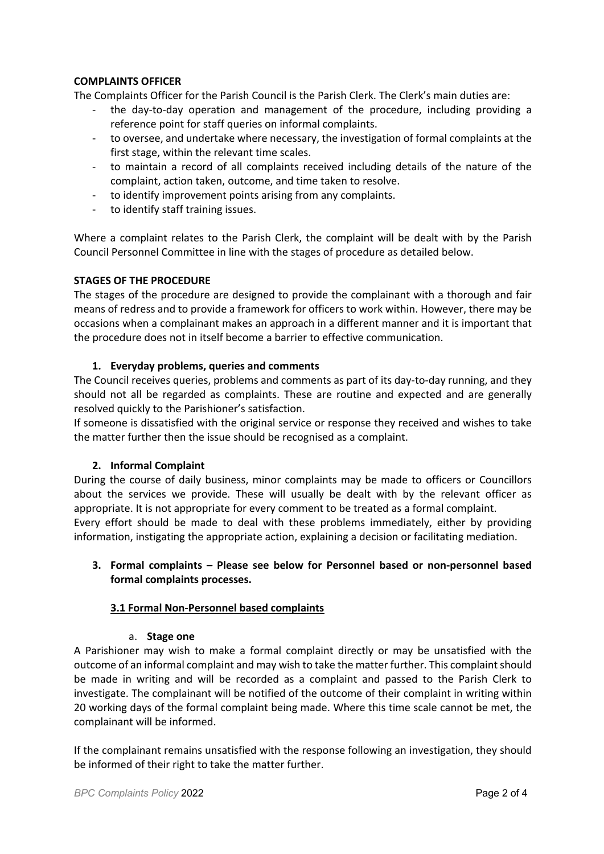## **COMPLAINTS OFFICER**

The Complaints Officer for the Parish Council is the Parish Clerk. The Clerk's main duties are:

- the day-to-day operation and management of the procedure, including providing a reference point for staff queries on informal complaints.
- to oversee, and undertake where necessary, the investigation of formal complaints at the first stage, within the relevant time scales.
- to maintain a record of all complaints received including details of the nature of the complaint, action taken, outcome, and time taken to resolve.
- to identify improvement points arising from any complaints.
- to identify staff training issues.

Where a complaint relates to the Parish Clerk, the complaint will be dealt with by the Parish Council Personnel Committee in line with the stages of procedure as detailed below.

## **STAGES OF THE PROCEDURE**

The stages of the procedure are designed to provide the complainant with a thorough and fair means of redress and to provide a framework for officers to work within. However, there may be occasions when a complainant makes an approach in a different manner and it is important that the procedure does not in itself become a barrier to effective communication.

## **1. Everyday problems, queries and comments**

The Council receives queries, problems and comments as part of its day-to-day running, and they should not all be regarded as complaints. These are routine and expected and are generally resolved quickly to the Parishioner's satisfaction.

If someone is dissatisfied with the original service or response they received and wishes to take the matter further then the issue should be recognised as a complaint.

## **2. Informal Complaint**

During the course of daily business, minor complaints may be made to officers or Councillors about the services we provide. These will usually be dealt with by the relevant officer as appropriate. It is not appropriate for every comment to be treated as a formal complaint. Every effort should be made to deal with these problems immediately, either by providing information, instigating the appropriate action, explaining a decision or facilitating mediation.

# **3. Formal complaints – Please see below for Personnel based or non-personnel based formal complaints processes.**

## **3.1 Formal Non-Personnel based complaints**

## a. **Stage one**

A Parishioner may wish to make a formal complaint directly or may be unsatisfied with the outcome of an informal complaint and may wish to take the matter further. This complaint should be made in writing and will be recorded as a complaint and passed to the Parish Clerk to investigate. The complainant will be notified of the outcome of their complaint in writing within 20 working days of the formal complaint being made. Where this time scale cannot be met, the complainant will be informed.

If the complainant remains unsatisfied with the response following an investigation, they should be informed of their right to take the matter further.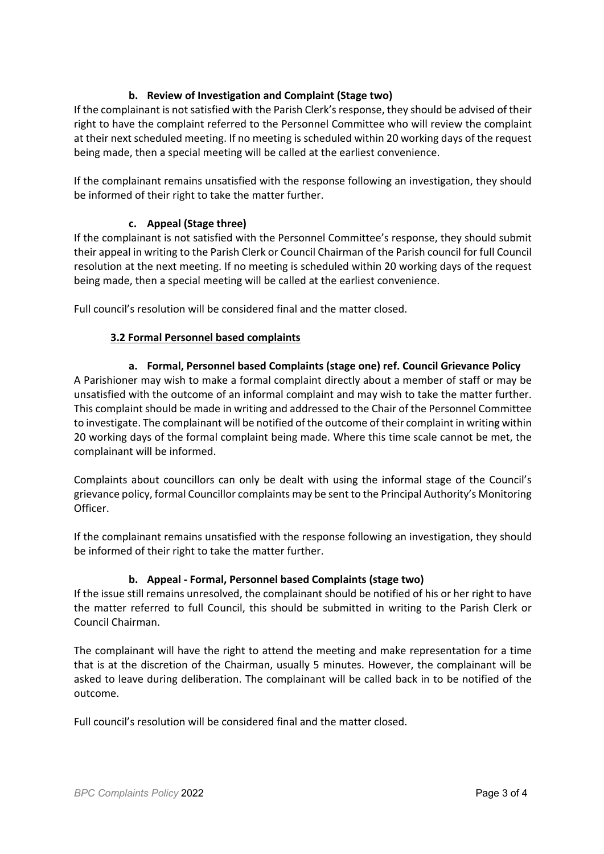# **b. Review of Investigation and Complaint (Stage two)**

If the complainant is not satisfied with the Parish Clerk's response, they should be advised of their right to have the complaint referred to the Personnel Committee who will review the complaint at their next scheduled meeting. If no meeting is scheduled within 20 working days of the request being made, then a special meeting will be called at the earliest convenience.

If the complainant remains unsatisfied with the response following an investigation, they should be informed of their right to take the matter further.

# **c. Appeal (Stage three)**

If the complainant is not satisfied with the Personnel Committee's response, they should submit their appeal in writing to the Parish Clerk or Council Chairman of the Parish council for full Council resolution at the next meeting. If no meeting is scheduled within 20 working days of the request being made, then a special meeting will be called at the earliest convenience.

Full council's resolution will be considered final and the matter closed.

## **3.2 Formal Personnel based complaints**

## **a. Formal, Personnel based Complaints (stage one) ref. Council Grievance Policy**

A Parishioner may wish to make a formal complaint directly about a member of staff or may be unsatisfied with the outcome of an informal complaint and may wish to take the matter further. This complaint should be made in writing and addressed to the Chair of the Personnel Committee to investigate. The complainant will be notified of the outcome of their complaint in writing within 20 working days of the formal complaint being made. Where this time scale cannot be met, the complainant will be informed.

Complaints about councillors can only be dealt with using the informal stage of the Council's grievance policy, formal Councillor complaints may be sent to the Principal Authority's Monitoring Officer.

If the complainant remains unsatisfied with the response following an investigation, they should be informed of their right to take the matter further.

## **b. Appeal - Formal, Personnel based Complaints (stage two)**

If the issue still remains unresolved, the complainant should be notified of his or her right to have the matter referred to full Council, this should be submitted in writing to the Parish Clerk or Council Chairman.

The complainant will have the right to attend the meeting and make representation for a time that is at the discretion of the Chairman, usually 5 minutes. However, the complainant will be asked to leave during deliberation. The complainant will be called back in to be notified of the outcome.

Full council's resolution will be considered final and the matter closed.